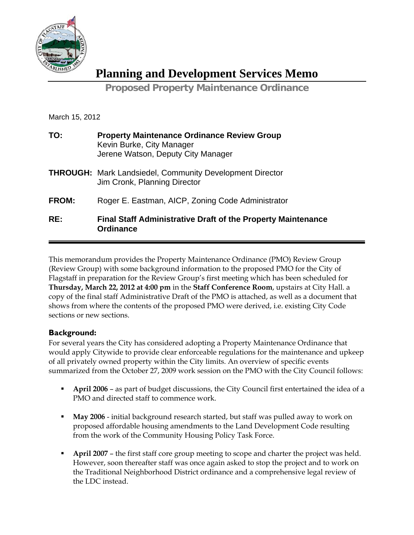

**Planning and Development Services Memo**

**Proposed Property Maintenance Ordinance** 

March 15, 2012

| TO:   | <b>Property Maintenance Ordinance Review Group</b><br>Kevin Burke, City Manager<br>Jerene Watson, Deputy City Manager |
|-------|-----------------------------------------------------------------------------------------------------------------------|
|       | <b>THROUGH:</b> Mark Landsiedel, Community Development Director<br>Jim Cronk, Planning Director                       |
| FROM: | Roger E. Eastman, AICP, Zoning Code Administrator                                                                     |
| RE:   | <b>Final Staff Administrative Draft of the Property Maintenance</b><br><b>Ordinance</b>                               |

This memorandum provides the Property Maintenance Ordinance (PMO) Review Group (Review Group) with some background information to the proposed PMO for the City of Flagstaff in preparation for the Review Group's first meeting which has been scheduled for **Thursday, March 22, 2012 at 4:00 pm** in the **Staff Conference Room**, upstairs at City Hall. a copy of the final staff Administrative Draft of the PMO is attached, as well as a document that shows from where the contents of the proposed PMO were derived, i.e. existing City Code sections or new sections.

## **Background:**

For several years the City has considered adopting a Property Maintenance Ordinance that would apply Citywide to provide clear enforceable regulations for the maintenance and upkeep of all privately owned property within the City limits. An overview of specific events summarized from the October 27, 2009 work session on the PMO with the City Council follows:

- **April 2006** as part of budget discussions, the City Council first entertained the idea of a PMO and directed staff to commence work.
- **May 2006** initial background research started, but staff was pulled away to work on proposed affordable housing amendments to the Land Development Code resulting from the work of the Community Housing Policy Task Force.
- **April 2007** the first staff core group meeting to scope and charter the project was held. However, soon thereafter staff was once again asked to stop the project and to work on the Traditional Neighborhood District ordinance and a comprehensive legal review of the LDC instead.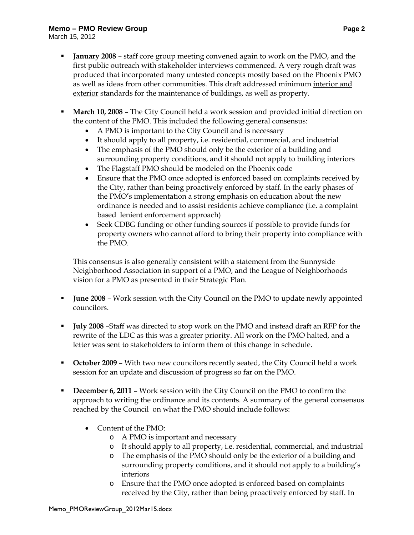## **Memo – PMO Review Group Page 2**

March 15, 2012

- **January 2008** staff core group meeting convened again to work on the PMO, and the first public outreach with stakeholder interviews commenced. A very rough draft was produced that incorporated many untested concepts mostly based on the Phoenix PMO as well as ideas from other communities. This draft addressed minimum interior and exterior standards for the maintenance of buildings, as well as property.
- **March 10, 2008** The City Council held a work session and provided initial direction on the content of the PMO. This included the following general consensus:
	- A PMO is important to the City Council and is necessary
	- It should apply to all property, i.e. residential, commercial, and industrial
	- The emphasis of the PMO should only be the exterior of a building and surrounding property conditions, and it should not apply to building interiors
	- The Flagstaff PMO should be modeled on the Phoenix code
	- Ensure that the PMO once adopted is enforced based on complaints received by the City, rather than being proactively enforced by staff. In the early phases of the PMO's implementation a strong emphasis on education about the new ordinance is needed and to assist residents achieve compliance (i.e. a complaint based lenient enforcement approach)
	- Seek CDBG funding or other funding sources if possible to provide funds for property owners who cannot afford to bring their property into compliance with the PMO.

This consensus is also generally consistent with a statement from the Sunnyside Neighborhood Association in support of a PMO, and the League of Neighborhoods vision for a PMO as presented in their Strategic Plan.

- **June 2008** Work session with the City Council on the PMO to update newly appointed councilors.
- **July 2008** –Staff was directed to stop work on the PMO and instead draft an RFP for the rewrite of the LDC as this was a greater priority. All work on the PMO halted, and a letter was sent to stakeholders to inform them of this change in schedule.
- **Dear** October 2009 With two new councilors recently seated, the City Council held a work session for an update and discussion of progress so far on the PMO.
- **December 6, 2011** Work session with the City Council on the PMO to confirm the approach to writing the ordinance and its contents. A summary of the general consensus reached by the Council on what the PMO should include follows:
	- Content of the PMO:
		- o A PMO is important and necessary
		- o It should apply to all property, i.e. residential, commercial, and industrial
		- o The emphasis of the PMO should only be the exterior of a building and surrounding property conditions, and it should not apply to a building's interiors
		- o Ensure that the PMO once adopted is enforced based on complaints received by the City, rather than being proactively enforced by staff. In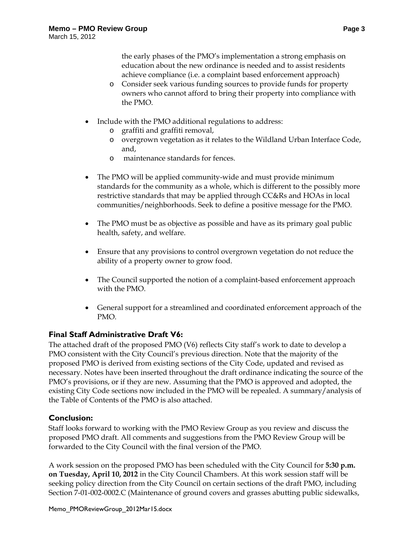the early phases of the PMO's implementation a strong emphasis on education about the new ordinance is needed and to assist residents achieve compliance (i.e. a complaint based enforcement approach)

- o Consider seek various funding sources to provide funds for property owners who cannot afford to bring their property into compliance with the PMO.
- Include with the PMO additional regulations to address:
	- o graffiti and graffiti removal,
	- o overgrown vegetation as it relates to the Wildland Urban Interface Code, and,
	- o maintenance standards for fences.
- The PMO will be applied community-wide and must provide minimum standards for the community as a whole, which is different to the possibly more restrictive standards that may be applied through CC&Rs and HOAs in local communities/neighborhoods. Seek to define a positive message for the PMO.
- The PMO must be as objective as possible and have as its primary goal public health, safety, and welfare.
- Ensure that any provisions to control overgrown vegetation do not reduce the ability of a property owner to grow food.
- The Council supported the notion of a complaint-based enforcement approach with the PMO.
- General support for a streamlined and coordinated enforcement approach of the PMO.

## **Final Staff Administrative Draft V6:**

The attached draft of the proposed PMO (V6) reflects City staff's work to date to develop a PMO consistent with the City Council's previous direction. Note that the majority of the proposed PMO is derived from existing sections of the City Code, updated and revised as necessary. Notes have been inserted throughout the draft ordinance indicating the source of the PMO's provisions, or if they are new. Assuming that the PMO is approved and adopted, the existing City Code sections now included in the PMO will be repealed. A summary/analysis of the Table of Contents of the PMO is also attached.

## **Conclusion:**

Staff looks forward to working with the PMO Review Group as you review and discuss the proposed PMO draft. All comments and suggestions from the PMO Review Group will be forwarded to the City Council with the final version of the PMO.

A work session on the proposed PMO has been scheduled with the City Council for **5:30 p.m. on Tuesday, April 10, 2012** in the City Council Chambers. At this work session staff will be seeking policy direction from the City Council on certain sections of the draft PMO, including Section 7-01-002-0002.C (Maintenance of ground covers and grasses abutting public sidewalks,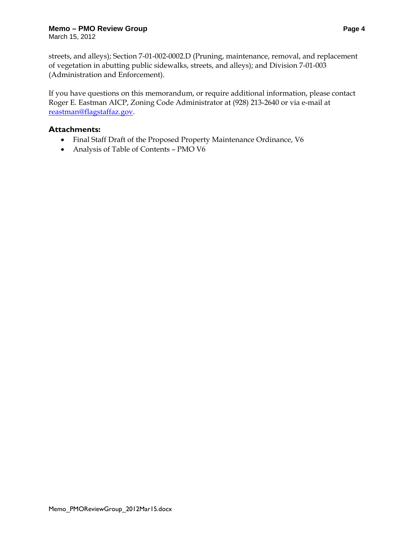## **Memo – PMO Review Group Page 4**

March 15, 2012

streets, and alleys); Section 7-01-002-0002.D (Pruning, maintenance, removal, and replacement of vegetation in abutting public sidewalks, streets, and alleys); and Division 7-01-003 (Administration and Enforcement).

If you have questions on this memorandum, or require additional information, please contact Roger E. Eastman AICP, Zoning Code Administrator at (928) 213-2640 or via e-mail at reastman@flagstaffaz.gov.

## **Attachments:**

- Final Staff Draft of the Proposed Property Maintenance Ordinance, V6
- Analysis of Table of Contents PMO V6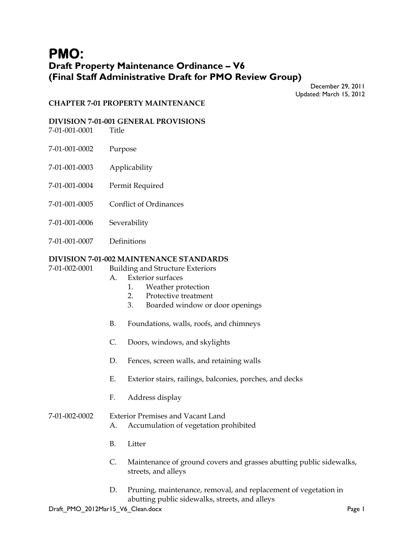# **PMO: Draft Property Maintenance Ordinance – V6 (Final Staff Administrative Draft for PMO Review Group)**

December 29, 2011 Updated: March 15, 2012

#### **CHAPTER 7-01 PROPERTY MAINTENANCE**

#### **DIVISION 7-01-001 GENERAL PROVISIONS**

7-01-001-0001 Title

- 7-01-001-0002 Purpose
- 7-01-001-0003 Applicability
- 7-01-001-0004 Permit Required
- 7-01-001-0005 Conflict of Ordinances
- 7-01-001-0006 Severability
- 7-01-001-0007 Definitions

## **DIVISION 7-01-002 MAINTENANCE STANDARDS**

7-01-002-0001 Building and Structure Exteriors

- A. Exterior surfaces
	- 1. Weather protection
	- 2. Protective treatment
	- 3. Boarded window or door openings
- B. Foundations, walls, roofs, and chimneys
- C. Doors, windows, and skylights
- D. Fences, screen walls, and retaining walls
- E. Exterior stairs, railings, balconies, porches, and decks
- F. Address display

## 7-01-002-0002 Exterior Premises and Vacant Land

- A. Accumulation of vegetation prohibited
- B. Litter
- C. Maintenance of ground covers and grasses abutting public sidewalks, streets, and alleys
- D. Pruning, maintenance, removal, and replacement of vegetation in abutting public sidewalks, streets, and alleys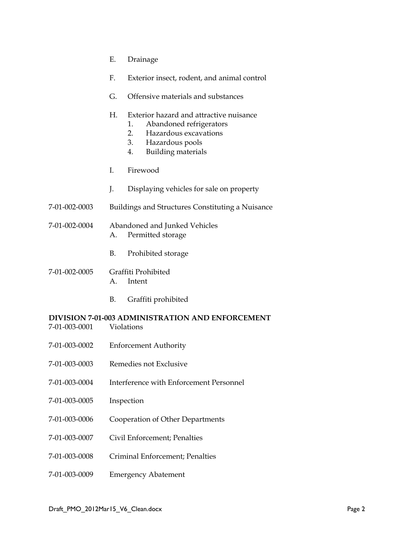- E. Drainage
- F. Exterior insect, rodent, and animal control
- G. Offensive materials and substances

#### H. Exterior hazard and attractive nuisance

- 1. Abandoned refrigerators
- 2. Hazardous excavations
- 3. Hazardous pools
- 4. Building materials
- I. Firewood
- J. Displaying vehicles for sale on property
- 7-01-002-0003 Buildings and Structures Constituting a Nuisance
- 7-01-002-0004 Abandoned and Junked Vehicles A. Permitted storage
	- B. Prohibited storage
- 7-01-002-0005 Graffiti Prohibited A. Intent
	- B. Graffiti prohibited

#### **DIVISION 7-01-003 ADMINISTRATION AND ENFORCEMENT**  7-01-003-0001 Violations

- 
- 7-01-003-0002 Enforcement Authority
- 7-01-003-0003 Remedies not Exclusive
- 7-01-003-0004 Interference with Enforcement Personnel
- 7-01-003-0005 Inspection
- 7-01-003-0006 Cooperation of Other Departments
- 7-01-003-0007 Civil Enforcement; Penalties
- 7-01-003-0008 Criminal Enforcement; Penalties
- 7-01-003-0009 Emergency Abatement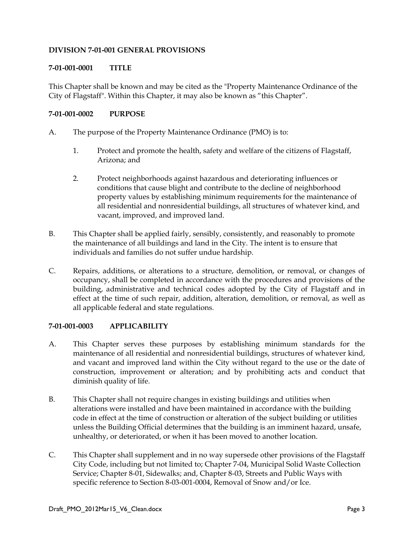## **DIVISION 7-01-001 GENERAL PROVISIONS**

## **7-01-001-0001 TITLE**

This Chapter shall be known and may be cited as the "Property Maintenance Ordinance of the City of Flagstaff". Within this Chapter, it may also be known as "this Chapter".

## **7-01-001-0002 PURPOSE**

- A. The purpose of the Property Maintenance Ordinance (PMO) is to:
	- 1. Protect and promote the health, safety and welfare of the citizens of Flagstaff, Arizona; and
	- 2. Protect neighborhoods against hazardous and deteriorating influences or conditions that cause blight and contribute to the decline of neighborhood property values by establishing minimum requirements for the maintenance of all residential and nonresidential buildings, all structures of whatever kind, and vacant, improved, and improved land.
- B. This Chapter shall be applied fairly, sensibly, consistently, and reasonably to promote the maintenance of all buildings and land in the City. The intent is to ensure that individuals and families do not suffer undue hardship.
- C. Repairs, additions, or alterations to a structure, demolition, or removal, or changes of occupancy, shall be completed in accordance with the procedures and provisions of the building, administrative and technical codes adopted by the City of Flagstaff and in effect at the time of such repair, addition, alteration, demolition, or removal, as well as all applicable federal and state regulations.

## **7-01-001-0003 APPLICABILITY**

- A. This Chapter serves these purposes by establishing minimum standards for the maintenance of all residential and nonresidential buildings, structures of whatever kind, and vacant and improved land within the City without regard to the use or the date of construction, improvement or alteration; and by prohibiting acts and conduct that diminish quality of life.
- B. This Chapter shall not require changes in existing buildings and utilities when alterations were installed and have been maintained in accordance with the building code in effect at the time of construction or alteration of the subject building or utilities unless the Building Official determines that the building is an imminent hazard, unsafe, unhealthy, or deteriorated, or when it has been moved to another location.
- C. This Chapter shall supplement and in no way supersede other provisions of the Flagstaff City Code, including but not limited to; Chapter 7-04, Municipal Solid Waste Collection Service; Chapter 8-01, Sidewalks; and, Chapter 8-03, Streets and Public Ways with specific reference to Section 8-03-001-0004, Removal of Snow and/or Ice.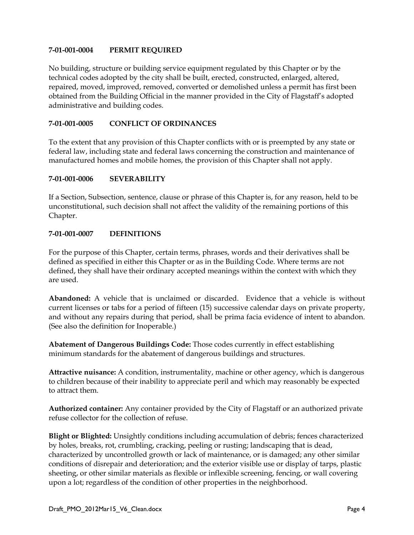## **7-01-001-0004 PERMIT REQUIRED**

No building, structure or building service equipment regulated by this Chapter or by the technical codes adopted by the city shall be built, erected, constructed, enlarged, altered, repaired, moved, improved, removed, converted or demolished unless a permit has first been obtained from the Building Official in the manner provided in the City of Flagstaff's adopted administrative and building codes.

## **7-01-001-0005 CONFLICT OF ORDINANCES**

To the extent that any provision of this Chapter conflicts with or is preempted by any state or federal law, including state and federal laws concerning the construction and maintenance of manufactured homes and mobile homes, the provision of this Chapter shall not apply.

#### **7-01-001-0006 SEVERABILITY**

If a Section, Subsection, sentence, clause or phrase of this Chapter is, for any reason, held to be unconstitutional, such decision shall not affect the validity of the remaining portions of this Chapter.

## **7-01-001-0007 DEFINITIONS**

For the purpose of this Chapter, certain terms, phrases, words and their derivatives shall be defined as specified in either this Chapter or as in the Building Code. Where terms are not defined, they shall have their ordinary accepted meanings within the context with which they are used.

**Abandoned:** A vehicle that is unclaimed or discarded. Evidence that a vehicle is without current licenses or tabs for a period of fifteen (15) successive calendar days on private property, and without any repairs during that period, shall be prima facia evidence of intent to abandon. (See also the definition for Inoperable.)

**Abatement of Dangerous Buildings Code:** Those codes currently in effect establishing minimum standards for the abatement of dangerous buildings and structures.

**Attractive nuisance:** A condition, instrumentality, machine or other agency, which is dangerous to children because of their inability to appreciate peril and which may reasonably be expected to attract them.

**Authorized container:** Any container provided by the City of Flagstaff or an authorized private refuse collector for the collection of refuse.

**Blight or Blighted:** Unsightly conditions including accumulation of debris; fences characterized by holes, breaks, rot, crumbling, cracking, peeling or rusting; landscaping that is dead, characterized by uncontrolled growth or lack of maintenance, or is damaged; any other similar conditions of disrepair and deterioration; and the exterior visible use or display of tarps, plastic sheeting, or other similar materials as flexible or inflexible screening, fencing, or wall covering upon a lot; regardless of the condition of other properties in the neighborhood.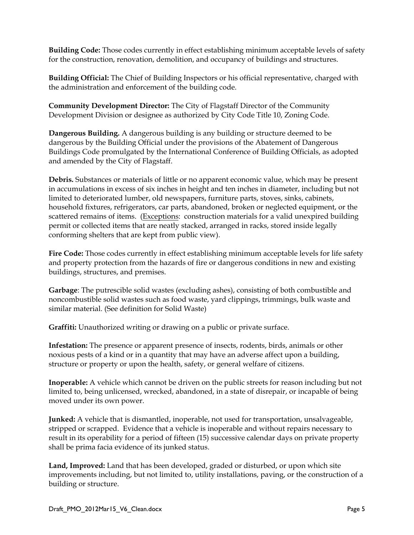**Building Code:** Those codes currently in effect establishing minimum acceptable levels of safety for the construction, renovation, demolition, and occupancy of buildings and structures.

**Building Official:** The Chief of Building Inspectors or his official representative, charged with the administration and enforcement of the building code.

**Community Development Director:** The City of Flagstaff Director of the Community Development Division or designee as authorized by City Code Title 10, Zoning Code.

**Dangerous Building.** A dangerous building is any building or structure deemed to be dangerous by the Building Official under the provisions of the Abatement of Dangerous Buildings Code promulgated by the International Conference of Building Officials, as adopted and amended by the City of Flagstaff.

**Debris.** Substances or materials of little or no apparent economic value, which may be present in accumulations in excess of six inches in height and ten inches in diameter, including but not limited to deteriorated lumber, old newspapers, furniture parts, stoves, sinks, cabinets, household fixtures, refrigerators, car parts, abandoned, broken or neglected equipment, or the scattered remains of items. (Exceptions: construction materials for a valid unexpired building permit or collected items that are neatly stacked, arranged in racks, stored inside legally conforming shelters that are kept from public view).

**Fire Code:** Those codes currently in effect establishing minimum acceptable levels for life safety and property protection from the hazards of fire or dangerous conditions in new and existing buildings, structures, and premises.

**Garbage**: The putrescible solid wastes (excluding ashes), consisting of both combustible and noncombustible solid wastes such as food waste, yard clippings, trimmings, bulk waste and similar material. (See definition for Solid Waste)

**Graffiti:** Unauthorized writing or drawing on a public or private surface.

**Infestation:** The presence or apparent presence of insects, rodents, birds, animals or other noxious pests of a kind or in a quantity that may have an adverse affect upon a building, structure or property or upon the health, safety, or general welfare of citizens.

**Inoperable:** A vehicle which cannot be driven on the public streets for reason including but not limited to, being unlicensed, wrecked, abandoned, in a state of disrepair, or incapable of being moved under its own power.

**Junked:** A vehicle that is dismantled, inoperable, not used for transportation, unsalvageable, stripped or scrapped. Evidence that a vehicle is inoperable and without repairs necessary to result in its operability for a period of fifteen (15) successive calendar days on private property shall be prima facia evidence of its junked status.

**Land, Improved:** Land that has been developed, graded or disturbed, or upon which site improvements including, but not limited to, utility installations, paving, or the construction of a building or structure.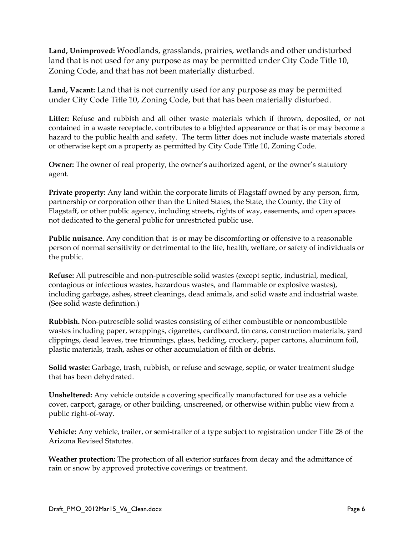**Land, Unimproved:** Woodlands, grasslands, prairies, wetlands and other undisturbed land that is not used for any purpose as may be permitted under City Code Title 10, Zoning Code, and that has not been materially disturbed.

**Land, Vacant:** Land that is not currently used for any purpose as may be permitted under City Code Title 10, Zoning Code, but that has been materially disturbed.

**Litter:** Refuse and rubbish and all other waste materials which if thrown, deposited, or not contained in a waste receptacle, contributes to a blighted appearance or that is or may become a hazard to the public health and safety. The term litter does not include waste materials stored or otherwise kept on a property as permitted by City Code Title 10, Zoning Code.

**Owner:** The owner of real property, the owner's authorized agent, or the owner's statutory agent.

**Private property:** Any land within the corporate limits of Flagstaff owned by any person, firm, partnership or corporation other than the United States, the State, the County, the City of Flagstaff, or other public agency, including streets, rights of way, easements, and open spaces not dedicated to the general public for unrestricted public use.

**Public nuisance.** Any condition that is or may be discomforting or offensive to a reasonable person of normal sensitivity or detrimental to the life, health, welfare, or safety of individuals or the public.

**Refuse:** All putrescible and non-putrescible solid wastes (except septic, industrial, medical, contagious or infectious wastes, hazardous wastes, and flammable or explosive wastes), including garbage, ashes, street cleanings, dead animals, and solid waste and industrial waste. (See solid waste definition.)

**Rubbish.** Non-putrescible solid wastes consisting of either combustible or noncombustible wastes including paper, wrappings, cigarettes, cardboard, tin cans, construction materials, yard clippings, dead leaves, tree trimmings, glass, bedding, crockery, paper cartons, aluminum foil, plastic materials, trash, ashes or other accumulation of filth or debris.

**Solid waste:** Garbage, trash, rubbish, or refuse and sewage, septic, or water treatment sludge that has been dehydrated.

**Unsheltered:** Any vehicle outside a covering specifically manufactured for use as a vehicle cover, carport, garage, or other building, unscreened, or otherwise within public view from a public right-of-way.

**Vehicle:** Any vehicle, trailer, or semi-trailer of a type subject to registration under Title 28 of the Arizona Revised Statutes.

**Weather protection:** The protection of all exterior surfaces from decay and the admittance of rain or snow by approved protective coverings or treatment.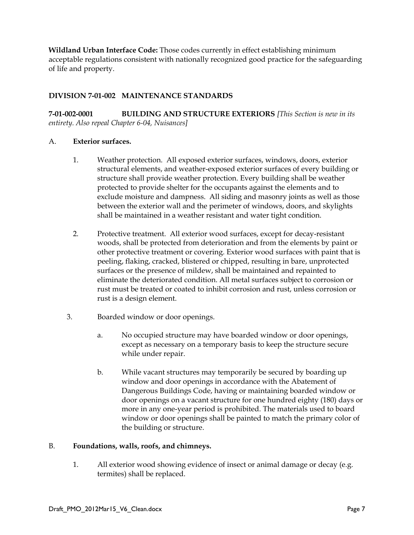**Wildland Urban Interface Code:** Those codes currently in effect establishing minimum acceptable regulations consistent with nationally recognized good practice for the safeguarding of life and property.

## **DIVISION 7-01-002 MAINTENANCE STANDARDS**

**7-01-002-0001 BUILDING AND STRUCTURE EXTERIORS** *[This Section is new in its entirety. Also repeal Chapter 6-04, Nuisances]* 

## A. **Exterior surfaces.**

- 1. Weather protection. All exposed exterior surfaces, windows, doors, exterior structural elements, and weather-exposed exterior surfaces of every building or structure shall provide weather protection. Every building shall be weather protected to provide shelter for the occupants against the elements and to exclude moisture and dampness. All siding and masonry joints as well as those between the exterior wall and the perimeter of windows, doors, and skylights shall be maintained in a weather resistant and water tight condition.
- 2. Protective treatment. All exterior wood surfaces, except for decay-resistant woods, shall be protected from deterioration and from the elements by paint or other protective treatment or covering. Exterior wood surfaces with paint that is peeling, flaking, cracked, blistered or chipped, resulting in bare, unprotected surfaces or the presence of mildew, shall be maintained and repainted to eliminate the deteriorated condition. All metal surfaces subject to corrosion or rust must be treated or coated to inhibit corrosion and rust, unless corrosion or rust is a design element.
- 3. Boarded window or door openings.
	- a. No occupied structure may have boarded window or door openings, except as necessary on a temporary basis to keep the structure secure while under repair.
	- b. While vacant structures may temporarily be secured by boarding up window and door openings in accordance with the Abatement of Dangerous Buildings Code, having or maintaining boarded window or door openings on a vacant structure for one hundred eighty (180) days or more in any one-year period is prohibited. The materials used to board window or door openings shall be painted to match the primary color of the building or structure.

## B. **Foundations, walls, roofs, and chimneys.**

 1. All exterior wood showing evidence of insect or animal damage or decay (e.g. termites) shall be replaced.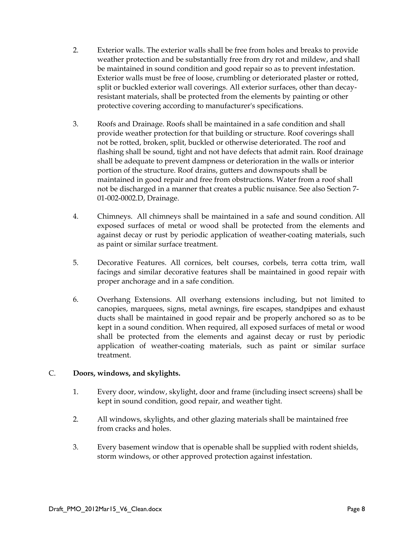- 2. Exterior walls. The exterior walls shall be free from holes and breaks to provide weather protection and be substantially free from dry rot and mildew, and shall be maintained in sound condition and good repair so as to prevent infestation. Exterior walls must be free of loose, crumbling or deteriorated plaster or rotted, split or buckled exterior wall coverings. All exterior surfaces, other than decayresistant materials, shall be protected from the elements by painting or other protective covering according to manufacturer's specifications.
- 3. Roofs and Drainage. Roofs shall be maintained in a safe condition and shall provide weather protection for that building or structure. Roof coverings shall not be rotted, broken, split, buckled or otherwise deteriorated. The roof and flashing shall be sound, tight and not have defects that admit rain. Roof drainage shall be adequate to prevent dampness or deterioration in the walls or interior portion of the structure. Roof drains, gutters and downspouts shall be maintained in good repair and free from obstructions. Water from a roof shall not be discharged in a manner that creates a public nuisance. See also Section 7- 01-002-0002.D, Drainage.
- 4. Chimneys. All chimneys shall be maintained in a safe and sound condition. All exposed surfaces of metal or wood shall be protected from the elements and against decay or rust by periodic application of weather-coating materials, such as paint or similar surface treatment.
- 5. Decorative Features. All cornices, belt courses, corbels, terra cotta trim, wall facings and similar decorative features shall be maintained in good repair with proper anchorage and in a safe condition.
- 6. Overhang Extensions. All overhang extensions including, but not limited to canopies, marquees, signs, metal awnings, fire escapes, standpipes and exhaust ducts shall be maintained in good repair and be properly anchored so as to be kept in a sound condition. When required, all exposed surfaces of metal or wood shall be protected from the elements and against decay or rust by periodic application of weather-coating materials, such as paint or similar surface treatment.

## C. **Doors, windows, and skylights.**

- 1. Every door, window, skylight, door and frame (including insect screens) shall be kept in sound condition, good repair, and weather tight.
- 2. All windows, skylights, and other glazing materials shall be maintained free from cracks and holes.
- 3. Every basement window that is openable shall be supplied with rodent shields, storm windows, or other approved protection against infestation.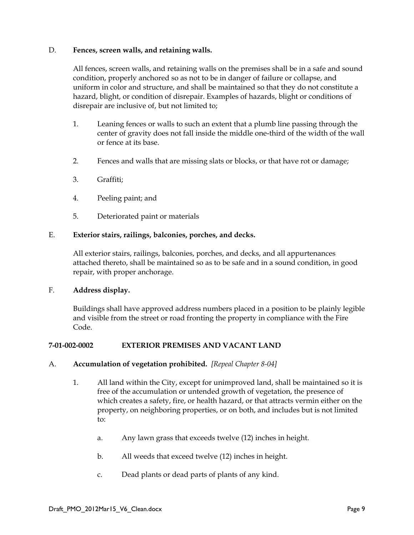## D. **Fences, screen walls, and retaining walls.**

All fences, screen walls, and retaining walls on the premises shall be in a safe and sound condition, properly anchored so as not to be in danger of failure or collapse, and uniform in color and structure, and shall be maintained so that they do not constitute a hazard, blight, or condition of disrepair. Examples of hazards, blight or conditions of disrepair are inclusive of, but not limited to;

- 1. Leaning fences or walls to such an extent that a plumb line passing through the center of gravity does not fall inside the middle one-third of the width of the wall or fence at its base.
- 2. Fences and walls that are missing slats or blocks, or that have rot or damage;
- 3. Graffiti;
- 4. Peeling paint; and
- 5. Deteriorated paint or materials

## E. **Exterior stairs, railings, balconies, porches, and decks.**

All exterior stairs, railings, balconies, porches, and decks, and all appurtenances attached thereto, shall be maintained so as to be safe and in a sound condition, in good repair, with proper anchorage.

## F. **Address display.**

Buildings shall have approved address numbers placed in a position to be plainly legible and visible from the street or road fronting the property in compliance with the Fire Code.

## **7-01-002-0002 EXTERIOR PREMISES AND VACANT LAND**

#### A. **Accumulation of vegetation prohibited.** *[Repeal Chapter 8-04]*

- 1. All land within the City, except for unimproved land, shall be maintained so it is free of the accumulation or untended growth of vegetation, the presence of which creates a safety, fire, or health hazard, or that attracts vermin either on the property, on neighboring properties, or on both, and includes but is not limited to:
	- a. Any lawn grass that exceeds twelve (12) inches in height.
	- b. All weeds that exceed twelve (12) inches in height.
	- c. Dead plants or dead parts of plants of any kind.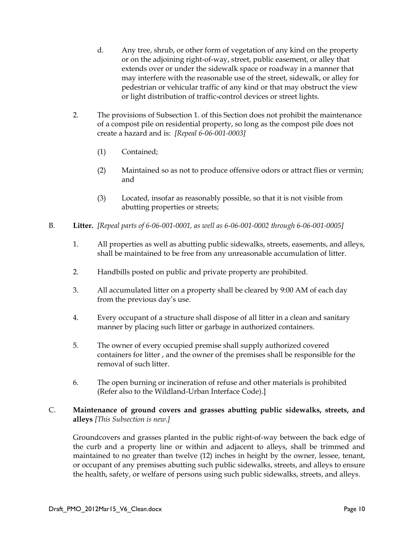- d. Any tree, shrub, or other form of vegetation of any kind on the property or on the adjoining right-of-way, street, public easement, or alley that extends over or under the sidewalk space or roadway in a manner that may interfere with the reasonable use of the street, sidewalk, or alley for pedestrian or vehicular traffic of any kind or that may obstruct the view or light distribution of traffic-control devices or street lights.
- 2. The provisions of Subsection 1. of this Section does not prohibit the maintenance of a compost pile on residential property, so long as the compost pile does not create a hazard and is: *[Repeal 6-06-001-0003]*
	- (1) Contained;
	- (2) Maintained so as not to produce offensive odors or attract flies or vermin; and
	- (3) Located, insofar as reasonably possible, so that it is not visible from abutting properties or streets;
- B. **Litter.** *[Repeal parts of 6-06-001-0001, as well as 6-06-001-0002 through 6-06-001-0005]*
	- 1. All properties as well as abutting public sidewalks, streets, easements, and alleys, shall be maintained to be free from any unreasonable accumulation of litter.
	- 2. Handbills posted on public and private property are prohibited.
	- 3. All accumulated litter on a property shall be cleared by 9:00 AM of each day from the previous day's use.
	- 4. Every occupant of a structure shall dispose of all litter in a clean and sanitary manner by placing such litter or garbage in authorized containers.
	- 5. The owner of every occupied premise shall supply authorized covered containers for litter , and the owner of the premises shall be responsible for the removal of such litter.
	- 6. The open burning or incineration of refuse and other materials is prohibited (Refer also to the Wildland-Urban Interface Code).]

## C. **Maintenance of ground covers and grasses abutting public sidewalks, streets, and alleys** *[This Subsection is new.]*

Groundcovers and grasses planted in the public right-of-way between the back edge of the curb and a property line or within and adjacent to alleys, shall be trimmed and maintained to no greater than twelve (12) inches in height by the owner, lessee, tenant, or occupant of any premises abutting such public sidewalks, streets, and alleys to ensure the health, safety, or welfare of persons using such public sidewalks, streets, and alleys.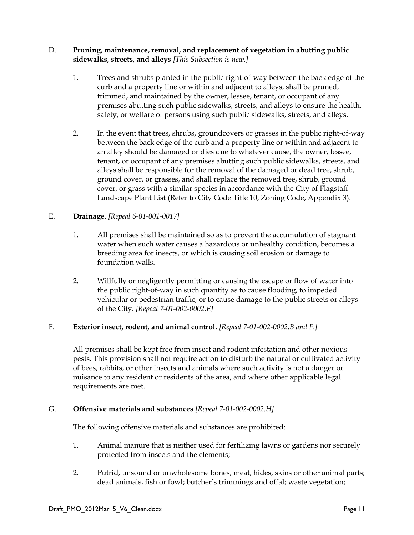## D. **Pruning, maintenance, removal, and replacement of vegetation in abutting public sidewalks, streets, and alleys** *[This Subsection is new.]*

- 1. Trees and shrubs planted in the public right-of-way between the back edge of the curb and a property line or within and adjacent to alleys, shall be pruned, trimmed, and maintained by the owner, lessee, tenant, or occupant of any premises abutting such public sidewalks, streets, and alleys to ensure the health, safety, or welfare of persons using such public sidewalks, streets, and alleys.
- 2. In the event that trees, shrubs, groundcovers or grasses in the public right-of-way between the back edge of the curb and a property line or within and adjacent to an alley should be damaged or dies due to whatever cause, the owner, lessee, tenant, or occupant of any premises abutting such public sidewalks, streets, and alleys shall be responsible for the removal of the damaged or dead tree, shrub, ground cover, or grasses, and shall replace the removed tree, shrub, ground cover, or grass with a similar species in accordance with the City of Flagstaff Landscape Plant List (Refer to City Code Title 10, Zoning Code, Appendix 3).

## E. **Drainage.** *[Repeal 6-01-001-0017]*

- 1. All premises shall be maintained so as to prevent the accumulation of stagnant water when such water causes a hazardous or unhealthy condition, becomes a breeding area for insects, or which is causing soil erosion or damage to foundation walls.
- 2. Willfully or negligently permitting or causing the escape or flow of water into the public right-of-way in such quantity as to cause flooding, to impeded vehicular or pedestrian traffic, or to cause damage to the public streets or alleys of the City. *[Repeal 7-01-002-0002.E]*

## F. **Exterior insect, rodent, and animal control.** *[Repeal 7-01-002-0002.B and F.]*

All premises shall be kept free from insect and rodent infestation and other noxious pests. This provision shall not require action to disturb the natural or cultivated activity of bees, rabbits, or other insects and animals where such activity is not a danger or nuisance to any resident or residents of the area, and where other applicable legal requirements are met.

## G. **Offensive materials and substances** *[Repeal 7-01-002-0002.H]*

The following offensive materials and substances are prohibited:

- 1. Animal manure that is neither used for fertilizing lawns or gardens nor securely protected from insects and the elements;
- 2. Putrid, unsound or unwholesome bones, meat, hides, skins or other animal parts; dead animals, fish or fowl; butcher's trimmings and offal; waste vegetation;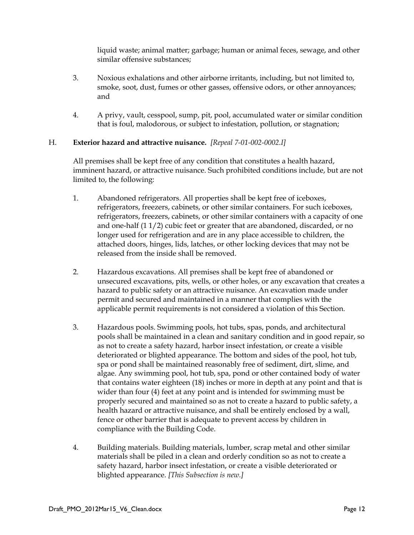liquid waste; animal matter; garbage; human or animal feces, sewage, and other similar offensive substances;

- 3. Noxious exhalations and other airborne irritants, including, but not limited to, smoke, soot, dust, fumes or other gasses, offensive odors, or other annoyances; and
- 4. A privy, vault, cesspool, sump, pit, pool, accumulated water or similar condition that is foul, malodorous, or subject to infestation, pollution, or stagnation;

## H. **Exterior hazard and attractive nuisance.** *[Repeal 7-01-002-0002.I]*

All premises shall be kept free of any condition that constitutes a health hazard, imminent hazard, or attractive nuisance. Such prohibited conditions include, but are not limited to, the following:

- 1. Abandoned refrigerators. All properties shall be kept free of iceboxes, refrigerators, freezers, cabinets, or other similar containers. For such iceboxes, refrigerators, freezers, cabinets, or other similar containers with a capacity of one and one-half (1 1/2) cubic feet or greater that are abandoned, discarded, or no longer used for refrigeration and are in any place accessible to children, the attached doors, hinges, lids, latches, or other locking devices that may not be released from the inside shall be removed.
- 2. Hazardous excavations. All premises shall be kept free of abandoned or unsecured excavations, pits, wells, or other holes, or any excavation that creates a hazard to public safety or an attractive nuisance. An excavation made under permit and secured and maintained in a manner that complies with the applicable permit requirements is not considered a violation of this Section.
- 3. Hazardous pools. Swimming pools, hot tubs, spas, ponds, and architectural pools shall be maintained in a clean and sanitary condition and in good repair, so as not to create a safety hazard, harbor insect infestation, or create a visible deteriorated or blighted appearance. The bottom and sides of the pool, hot tub, spa or pond shall be maintained reasonably free of sediment, dirt, slime, and algae. Any swimming pool, hot tub, spa, pond or other contained body of water that contains water eighteen (18) inches or more in depth at any point and that is wider than four (4) feet at any point and is intended for swimming must be properly secured and maintained so as not to create a hazard to public safety, a health hazard or attractive nuisance, and shall be entirely enclosed by a wall, fence or other barrier that is adequate to prevent access by children in compliance with the Building Code.
- 4. Building materials. Building materials, lumber, scrap metal and other similar materials shall be piled in a clean and orderly condition so as not to create a safety hazard, harbor insect infestation, or create a visible deteriorated or blighted appearance. *[This Subsection is new.]*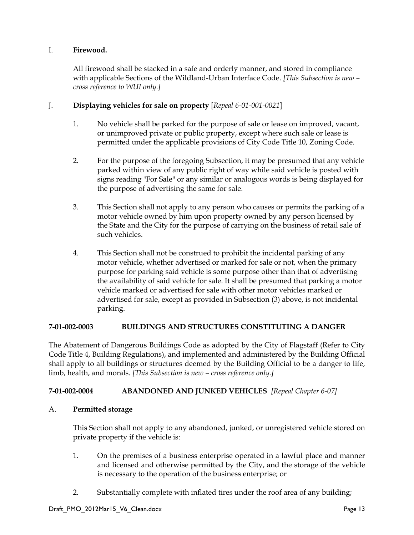## I. **Firewood.**

All firewood shall be stacked in a safe and orderly manner, and stored in compliance with applicable Sections of the Wildland-Urban Interface Code. *[This Subsection is new – cross reference to WUI only.]*

## J. **Displaying vehicles for sale on property** [*Repeal 6-01-001-0021*]

- 1. No vehicle shall be parked for the purpose of sale or lease on improved, vacant, or unimproved private or public property, except where such sale or lease is permitted under the applicable provisions of City Code Title 10, Zoning Code.
- 2. For the purpose of the foregoing Subsection, it may be presumed that any vehicle parked within view of any public right of way while said vehicle is posted with signs reading "For Sale" or any similar or analogous words is being displayed for the purpose of advertising the same for sale.
- 3. This Section shall not apply to any person who causes or permits the parking of a motor vehicle owned by him upon property owned by any person licensed by the State and the City for the purpose of carrying on the business of retail sale of such vehicles.
- 4. This Section shall not be construed to prohibit the incidental parking of any motor vehicle, whether advertised or marked for sale or not, when the primary purpose for parking said vehicle is some purpose other than that of advertising the availability of said vehicle for sale. It shall be presumed that parking a motor vehicle marked or advertised for sale with other motor vehicles marked or advertised for sale, except as provided in Subsection (3) above, is not incidental parking.

## **7-01-002-0003 BUILDINGS AND STRUCTURES CONSTITUTING A DANGER**

The Abatement of Dangerous Buildings Code as adopted by the City of Flagstaff (Refer to City Code Title 4, Building Regulations), and implemented and administered by the Building Official shall apply to all buildings or structures deemed by the Building Official to be a danger to life, limb, health, and morals. *[This Subsection is new – cross reference only.]*

## **7-01-002-0004 ABANDONED AND JUNKED VEHICLES** *[Repeal Chapter 6-07]*

## A. **Permitted storage**

This Section shall not apply to any abandoned, junked, or unregistered vehicle stored on private property if the vehicle is:

- 1. On the premises of a business enterprise operated in a lawful place and manner and licensed and otherwise permitted by the City, and the storage of the vehicle is necessary to the operation of the business enterprise; or
- 2. Substantially complete with inflated tires under the roof area of any building;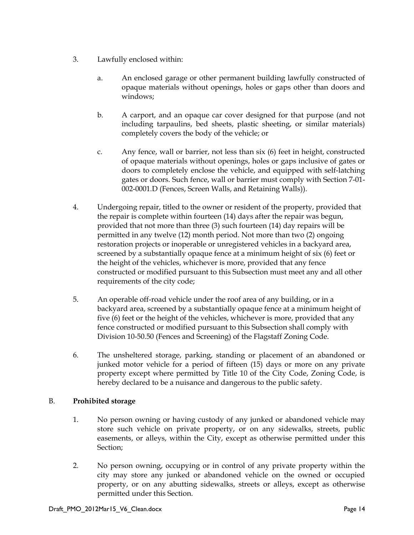- 3. Lawfully enclosed within:
	- a. An enclosed garage or other permanent building lawfully constructed of opaque materials without openings, holes or gaps other than doors and windows;
	- b. A carport, and an opaque car cover designed for that purpose (and not including tarpaulins, bed sheets, plastic sheeting, or similar materials) completely covers the body of the vehicle; or
	- c. Any fence, wall or barrier, not less than six (6) feet in height, constructed of opaque materials without openings, holes or gaps inclusive of gates or doors to completely enclose the vehicle, and equipped with self-latching gates or doors. Such fence, wall or barrier must comply with Section 7-01- 002-0001.D (Fences, Screen Walls, and Retaining Walls)).
- 4. Undergoing repair, titled to the owner or resident of the property, provided that the repair is complete within fourteen (14) days after the repair was begun, provided that not more than three (3) such fourteen (14) day repairs will be permitted in any twelve (12) month period. Not more than two (2) ongoing restoration projects or inoperable or unregistered vehicles in a backyard area, screened by a substantially opaque fence at a minimum height of six (6) feet or the height of the vehicles, whichever is more, provided that any fence constructed or modified pursuant to this Subsection must meet any and all other requirements of the city code;
- 5. An operable off-road vehicle under the roof area of any building, or in a backyard area, screened by a substantially opaque fence at a minimum height of five (6) feet or the height of the vehicles, whichever is more, provided that any fence constructed or modified pursuant to this Subsection shall comply with Division 10-50.50 (Fences and Screening) of the Flagstaff Zoning Code.
- 6. The unsheltered storage, parking, standing or placement of an abandoned or junked motor vehicle for a period of fifteen (15) days or more on any private property except where permitted by Title 10 of the City Code, Zoning Code, is hereby declared to be a nuisance and dangerous to the public safety.

## B. **Prohibited storage**

- 1. No person owning or having custody of any junked or abandoned vehicle may store such vehicle on private property, or on any sidewalks, streets, public easements, or alleys, within the City, except as otherwise permitted under this Section;
- 2. No person owning, occupying or in control of any private property within the city may store any junked or abandoned vehicle on the owned or occupied property, or on any abutting sidewalks, streets or alleys, except as otherwise permitted under this Section.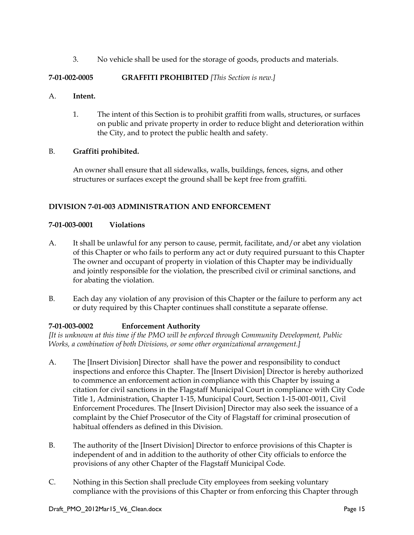3. No vehicle shall be used for the storage of goods, products and materials.

## **7-01-002-0005 GRAFFITI PROHIBITED** *[This Section is new.]*

## A. **Intent.**

1. The intent of this Section is to prohibit graffiti from walls, structures, or surfaces on public and private property in order to reduce blight and deterioration within the City, and to protect the public health and safety.

## B. **Graffiti prohibited.**

An owner shall ensure that all sidewalks, walls, buildings, fences, signs, and other structures or surfaces except the ground shall be kept free from graffiti.

## **DIVISION 7-01-003 ADMINISTRATION AND ENFORCEMENT**

## **7-01-003-0001 Violations**

- A. It shall be unlawful for any person to cause, permit, facilitate, and/or abet any violation of this Chapter or who fails to perform any act or duty required pursuant to this Chapter The owner and occupant of property in violation of this Chapter may be individually and jointly responsible for the violation, the prescribed civil or criminal sanctions, and for abating the violation.
- B. Each day any violation of any provision of this Chapter or the failure to perform any act or duty required by this Chapter continues shall constitute a separate offense.

## **7-01-003-0002 Enforcement Authority**

*[It is unknown at this time if the PMO will be enforced through Community Development, Public Works, a combination of both Divisions, or some other organizational arrangement.]*

- A. The [Insert Division] Director shall have the power and responsibility to conduct inspections and enforce this Chapter. The [Insert Division] Director is hereby authorized to commence an enforcement action in compliance with this Chapter by issuing a citation for civil sanctions in the Flagstaff Municipal Court in compliance with City Code Title 1, Administration, Chapter 1-15, Municipal Court, Section 1-15-001-0011, Civil Enforcement Procedures. The [Insert Division] Director may also seek the issuance of a complaint by the Chief Prosecutor of the City of Flagstaff for criminal prosecution of habitual offenders as defined in this Division.
- B. The authority of the [Insert Division] Director to enforce provisions of this Chapter is independent of and in addition to the authority of other City officials to enforce the provisions of any other Chapter of the Flagstaff Municipal Code.
- C. Nothing in this Section shall preclude City employees from seeking voluntary compliance with the provisions of this Chapter or from enforcing this Chapter through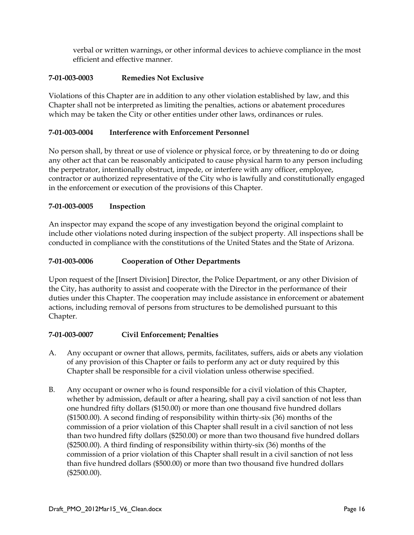verbal or written warnings, or other informal devices to achieve compliance in the most efficient and effective manner.

## **7-01-003-0003 Remedies Not Exclusive**

Violations of this Chapter are in addition to any other violation established by law, and this Chapter shall not be interpreted as limiting the penalties, actions or abatement procedures which may be taken the City or other entities under other laws, ordinances or rules.

## **7-01-003-0004 Interference with Enforcement Personnel**

No person shall, by threat or use of violence or physical force, or by threatening to do or doing any other act that can be reasonably anticipated to cause physical harm to any person including the perpetrator, intentionally obstruct, impede, or interfere with any officer, employee, contractor or authorized representative of the City who is lawfully and constitutionally engaged in the enforcement or execution of the provisions of this Chapter.

## **7-01-003-0005 Inspection**

An inspector may expand the scope of any investigation beyond the original complaint to include other violations noted during inspection of the subject property. All inspections shall be conducted in compliance with the constitutions of the United States and the State of Arizona.

## **7-01-003-0006 Cooperation of Other Departments**

Upon request of the [Insert Division] Director, the Police Department, or any other Division of the City, has authority to assist and cooperate with the Director in the performance of their duties under this Chapter. The cooperation may include assistance in enforcement or abatement actions, including removal of persons from structures to be demolished pursuant to this Chapter.

#### **7-01-003-0007 Civil Enforcement; Penalties**

- A. Any occupant or owner that allows, permits, facilitates, suffers, aids or abets any violation of any provision of this Chapter or fails to perform any act or duty required by this Chapter shall be responsible for a civil violation unless otherwise specified.
- B. Any occupant or owner who is found responsible for a civil violation of this Chapter, whether by admission, default or after a hearing, shall pay a civil sanction of not less than one hundred fifty dollars (\$150.00) or more than one thousand five hundred dollars (\$1500.00). A second finding of responsibility within thirty-six (36) months of the commission of a prior violation of this Chapter shall result in a civil sanction of not less than two hundred fifty dollars (\$250.00) or more than two thousand five hundred dollars (\$2500.00). A third finding of responsibility within thirty-six (36) months of the commission of a prior violation of this Chapter shall result in a civil sanction of not less than five hundred dollars (\$500.00) or more than two thousand five hundred dollars (\$2500.00).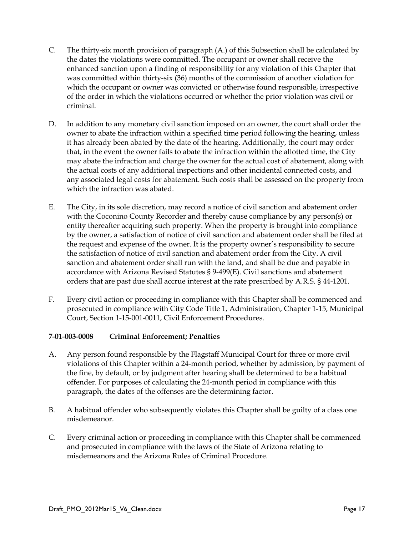- C. The thirty-six month provision of paragraph (A.) of this Subsection shall be calculated by the dates the violations were committed. The occupant or owner shall receive the enhanced sanction upon a finding of responsibility for any violation of this Chapter that was committed within thirty-six (36) months of the commission of another violation for which the occupant or owner was convicted or otherwise found responsible, irrespective of the order in which the violations occurred or whether the prior violation was civil or criminal.
- D. In addition to any monetary civil sanction imposed on an owner, the court shall order the owner to abate the infraction within a specified time period following the hearing, unless it has already been abated by the date of the hearing. Additionally, the court may order that, in the event the owner fails to abate the infraction within the allotted time, the City may abate the infraction and charge the owner for the actual cost of abatement, along with the actual costs of any additional inspections and other incidental connected costs, and any associated legal costs for abatement. Such costs shall be assessed on the property from which the infraction was abated.
- E. The City, in its sole discretion, may record a notice of civil sanction and abatement order with the Coconino County Recorder and thereby cause compliance by any person(s) or entity thereafter acquiring such property. When the property is brought into compliance by the owner, a satisfaction of notice of civil sanction and abatement order shall be filed at the request and expense of the owner. It is the property owner's responsibility to secure the satisfaction of notice of civil sanction and abatement order from the City. A civil sanction and abatement order shall run with the land, and shall be due and payable in accordance with Arizona Revised Statutes § 9-499(E). Civil sanctions and abatement orders that are past due shall accrue interest at the rate prescribed by A.R.S. § 44-1201.
- F. Every civil action or proceeding in compliance with this Chapter shall be commenced and prosecuted in compliance with City Code Title 1, Administration, Chapter 1-15, Municipal Court, Section 1-15-001-0011, Civil Enforcement Procedures.

## **7-01-003-0008 Criminal Enforcement; Penalties**

- A. Any person found responsible by the Flagstaff Municipal Court for three or more civil violations of this Chapter within a 24-month period, whether by admission, by payment of the fine, by default, or by judgment after hearing shall be determined to be a habitual offender. For purposes of calculating the 24-month period in compliance with this paragraph, the dates of the offenses are the determining factor.
- B. A habitual offender who subsequently violates this Chapter shall be guilty of a class one misdemeanor.
- C. Every criminal action or proceeding in compliance with this Chapter shall be commenced and prosecuted in compliance with the laws of the State of Arizona relating to misdemeanors and the Arizona Rules of Criminal Procedure.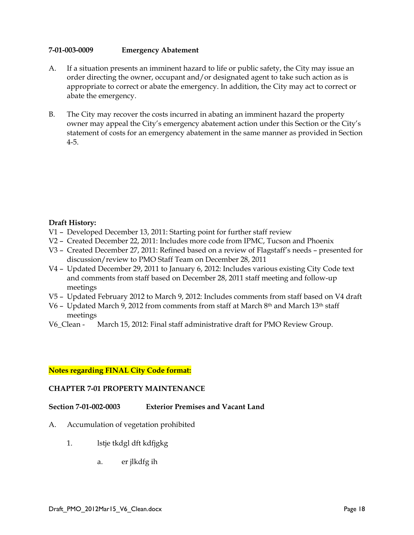## **7-01-003-0009 Emergency Abatement**

- A. If a situation presents an imminent hazard to life or public safety, the City may issue an order directing the owner, occupant and/or designated agent to take such action as is appropriate to correct or abate the emergency. In addition, the City may act to correct or abate the emergency.
- B. The City may recover the costs incurred in abating an imminent hazard the property owner may appeal the City's emergency abatement action under this Section or the City's statement of costs for an emergency abatement in the same manner as provided in Section 4-5.

## **Draft History:**

- V1 Developed December 13, 2011: Starting point for further staff review
- V2 Created December 22, 2011: Includes more code from IPMC, Tucson and Phoenix
- V3 Created December 27, 2011: Refined based on a review of Flagstaff's needs presented for discussion/review to PMO Staff Team on December 28, 2011
- V4 Updated December 29, 2011 to January 6, 2012: Includes various existing City Code text and comments from staff based on December 28, 2011 staff meeting and follow-up meetings
- V5 Updated February 2012 to March 9, 2012: Includes comments from staff based on V4 draft
- V6 Updated March 9, 2012 from comments from staff at March 8th and March 13th staff meetings
- V6\_Clean March 15, 2012: Final staff administrative draft for PMO Review Group.

#### **Notes regarding FINAL City Code format:**

#### **CHAPTER 7-01 PROPERTY MAINTENANCE**

## **Section 7-01-002-0003 Exterior Premises and Vacant Land**

- A. Accumulation of vegetation prohibited
	- 1. lstje tkdgl dft kdfjgkg
		- a. er jlkdfg ih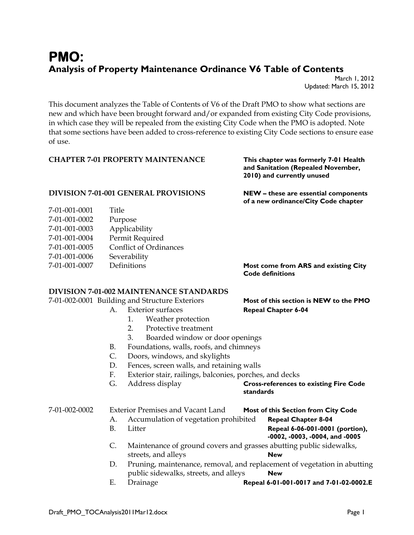# **PMO: Analysis of Property Maintenance Ordinance V6 Table of Contents**

March 1, 2012 Updated: March 15, 2012

This document analyzes the Table of Contents of V6 of the Draft PMO to show what sections are new and which have been brought forward and/or expanded from existing City Code provisions, in which case they will be repealed from the existing City Code when the PMO is adopted. Note that some sections have been added to cross-reference to existing City Code sections to ensure ease of use.

## **CHAPTER 7-01 PROPERTY MAINTENANCE This chapter was formerly 7-01 Health**

# **and Sanitation (Repealed November, 2010) and currently unused**

## **DIVISION 7-01-001 GENERAL PROVISIONS NEW – these are essential components**

| 7-01-001-0001 | Title                         |
|---------------|-------------------------------|
| 7-01-001-0002 | Purpose                       |
| 7-01-001-0003 | Applicability                 |
| 7-01-001-0004 | Permit Required               |
| 7-01-001-0005 | <b>Conflict of Ordinances</b> |
| 7-01-001-0006 | Severability                  |
| 7-01-001-0007 | Definitions                   |

**of a new ordinance/City Code chapter**

7-01-001-0007 Definitions **Most come from ARS and existing City Code definitions** 

## **DIVISION 7-01-002 MAINTENANCE STANDARDS**

7-01-002-0001 Building and Structure Exteriors **Most of this section is NEW to the PMO** 

- A. Exterior surfaces **Repeal Chapter 6-04**
	- 1. Weather protection
	- 2. Protective treatment
	- 3. Boarded window or door openings
	- B. Foundations, walls, roofs, and chimneys
	- C. Doors, windows, and skylights
	- D. Fences, screen walls, and retaining walls
	- F. Exterior stair, railings, balconies, porches, and decks
	- G. Address display **Cross-references to existing Fire Code**

## **standards**

## 7-01-002-0002 Exterior Premises and Vacant Land **Most of this Section from City Code**

- A. Accumulation of vegetation prohibited **Repeal Chapter 8-04**
- B. Litter **Repeal 6-06-001-0001 (portion),** 
	- **-0002, -0003, -0004, and -0005**
- C. Maintenance of ground covers and grasses abutting public sidewalks, streets, and alleys **New**
- D. Pruning, maintenance, removal, and replacement of vegetation in abutting public sidewalks, streets, and alleys **New**
- E. Drainage **Repeal 6-01-001-0017 and 7-01-02-0002.E**